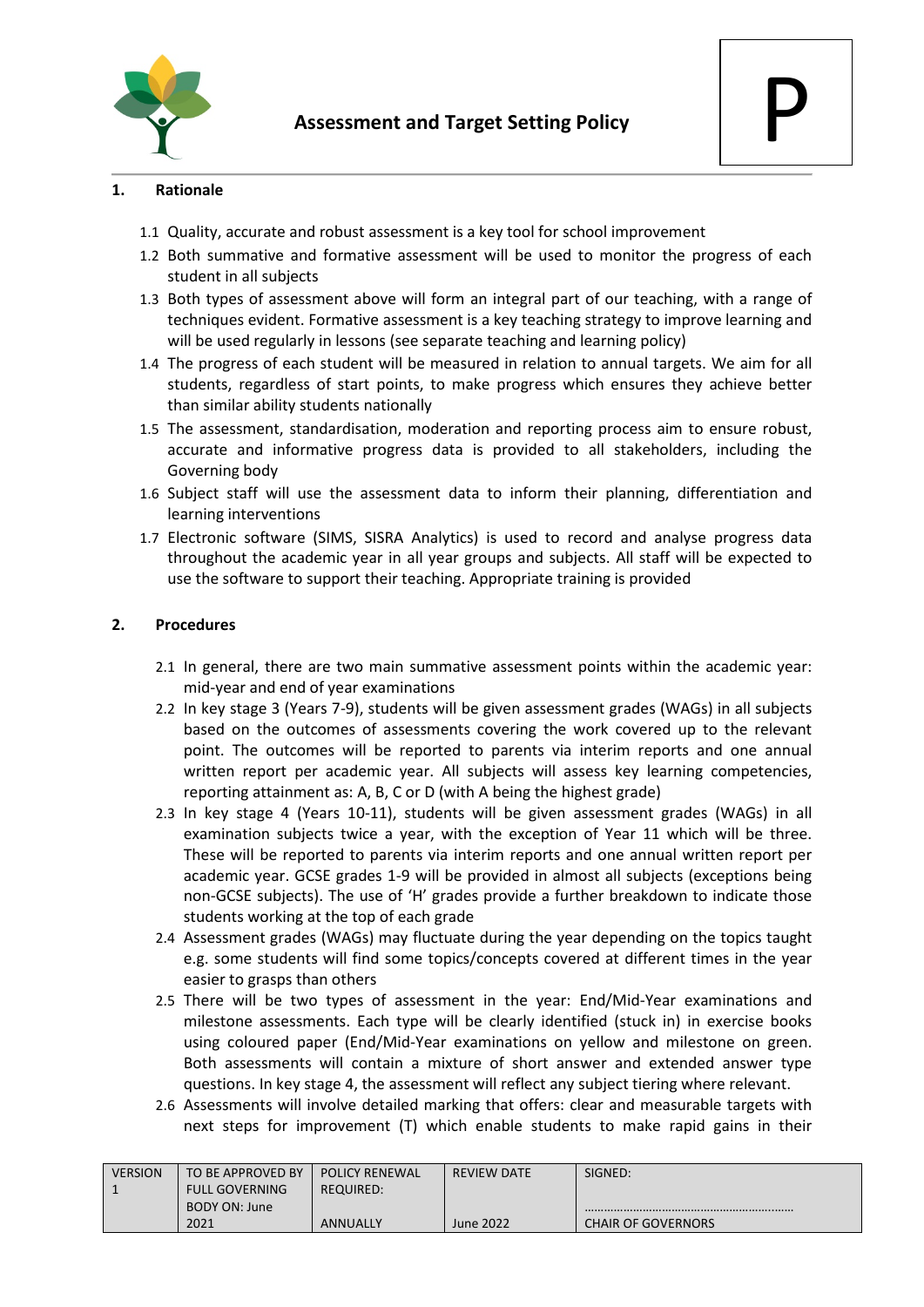

### **1. Rationale**

- 1.1 Quality, accurate and robust assessment is a key tool for school improvement
- 1.2 Both summative and formative assessment will be used to monitor the progress of each student in all subjects
- 1.3 Both types of assessment above will form an integral part of our teaching, with a range of techniques evident. Formative assessment is a key teaching strategy to improve learning and will be used regularly in lessons (see separate teaching and learning policy)
- 1.4 The progress of each student will be measured in relation to annual targets. We aim for all students, regardless of start points, to make progress which ensures they achieve better than similar ability students nationally
- 1.5 The assessment, standardisation, moderation and reporting process aim to ensure robust, accurate and informative progress data is provided to all stakeholders, including the Governing body
- 1.6 Subject staff will use the assessment data to inform their planning, differentiation and learning interventions
- 1.7 Electronic software (SIMS, SISRA Analytics) is used to record and analyse progress data throughout the academic year in all year groups and subjects. All staff will be expected to use the software to support their teaching. Appropriate training is provided

## **2. Procedures**

- 2.1 In general, there are two main summative assessment points within the academic year: mid-year and end of year examinations
- 2.2 In key stage 3 (Years 7-9), students will be given assessment grades (WAGs) in all subjects based on the outcomes of assessments covering the work covered up to the relevant point. The outcomes will be reported to parents via interim reports and one annual written report per academic year. All subjects will assess key learning competencies, reporting attainment as: A, B, C or D (with A being the highest grade)
- 2.3 In key stage 4 (Years 10-11), students will be given assessment grades (WAGs) in all examination subjects twice a year, with the exception of Year 11 which will be three. These will be reported to parents via interim reports and one annual written report per academic year. GCSE grades 1-9 will be provided in almost all subjects (exceptions being non-GCSE subjects). The use of 'H' grades provide a further breakdown to indicate those students working at the top of each grade
- 2.4 Assessment grades (WAGs) may fluctuate during the year depending on the topics taught e.g. some students will find some topics/concepts covered at different times in the year easier to grasps than others
- 2.5 There will be two types of assessment in the year: End/Mid-Year examinations and milestone assessments. Each type will be clearly identified (stuck in) in exercise books using coloured paper (End/Mid-Year examinations on yellow and milestone on green. Both assessments will contain a mixture of short answer and extended answer type questions. In key stage 4, the assessment will reflect any subject tiering where relevant.
- 2.6 Assessments will involve detailed marking that offers: clear and measurable targets with next steps for improvement (T) which enable students to make rapid gains in their

| <b>VERSION</b> | TO BE APPROVED BY     | <b>POLICY RENEWAL</b> | <b>REVIEW DATE</b> | SIGNED:                   |
|----------------|-----------------------|-----------------------|--------------------|---------------------------|
|                | <b>FULL GOVERNING</b> | <b>REQUIRED:</b>      |                    |                           |
|                | BODY ON: June         |                       |                    |                           |
|                | 2021                  | ANNUALLY              | June 2022          | <b>CHAIR OF GOVERNORS</b> |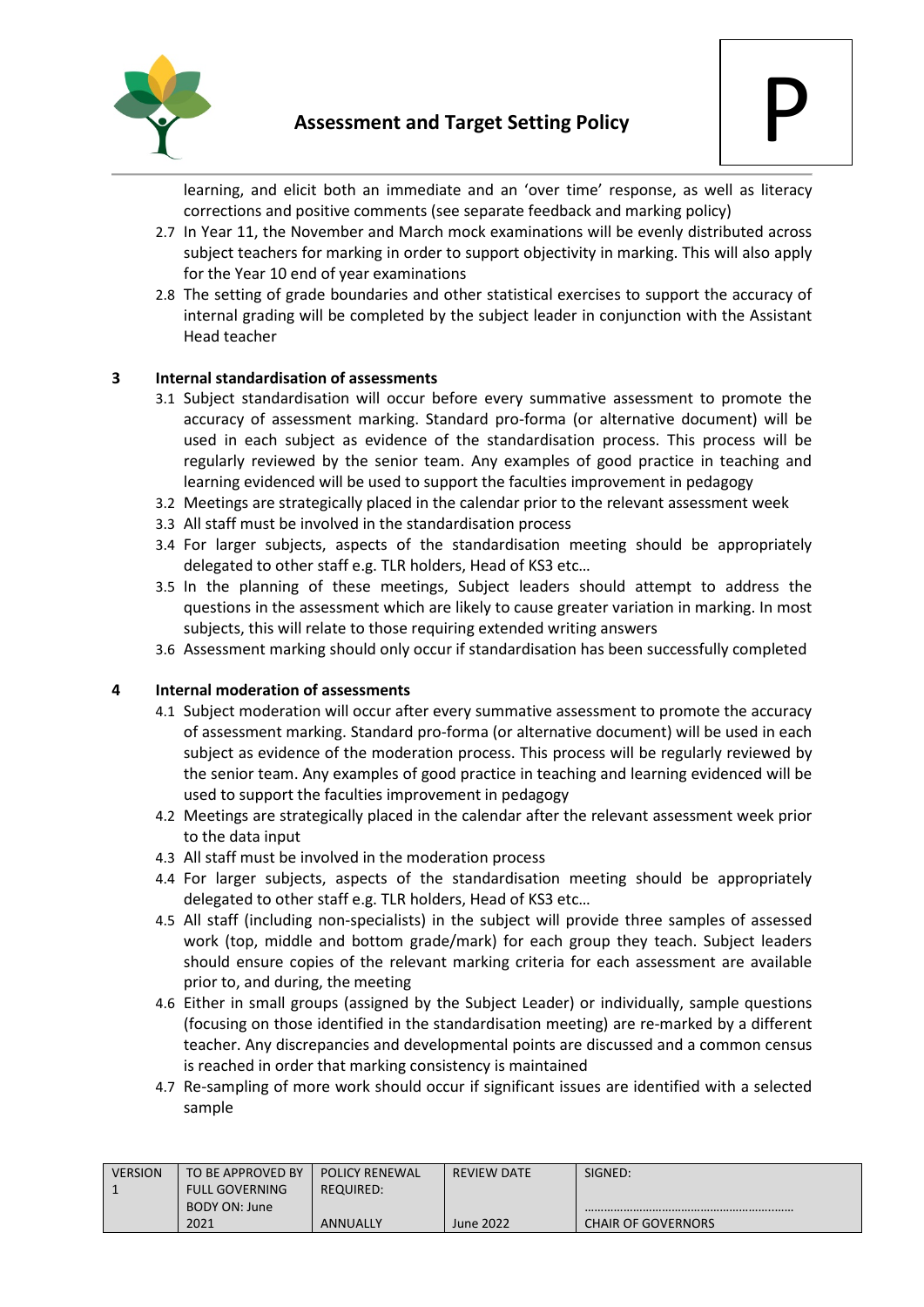

learning, and elicit both an immediate and an 'over time' response, as well as literacy corrections and positive comments (see separate feedback and marking policy)

- 2.7 In Year 11, the November and March mock examinations will be evenly distributed across subject teachers for marking in order to support objectivity in marking. This will also apply for the Year 10 end of year examinations
- 2.8 The setting of grade boundaries and other statistical exercises to support the accuracy of internal grading will be completed by the subject leader in conjunction with the Assistant Head teacher

## **3 Internal standardisation of assessments**

- 3.1 Subject standardisation will occur before every summative assessment to promote the accuracy of assessment marking. Standard pro-forma (or alternative document) will be used in each subject as evidence of the standardisation process. This process will be regularly reviewed by the senior team. Any examples of good practice in teaching and learning evidenced will be used to support the faculties improvement in pedagogy
- 3.2 Meetings are strategically placed in the calendar prior to the relevant assessment week
- 3.3 All staff must be involved in the standardisation process
- 3.4 For larger subjects, aspects of the standardisation meeting should be appropriately delegated to other staff e.g. TLR holders, Head of KS3 etc…
- 3.5 In the planning of these meetings, Subject leaders should attempt to address the questions in the assessment which are likely to cause greater variation in marking. In most subjects, this will relate to those requiring extended writing answers
- 3.6 Assessment marking should only occur if standardisation has been successfully completed

#### **4 Internal moderation of assessments**

- 4.1 Subject moderation will occur after every summative assessment to promote the accuracy of assessment marking. Standard pro-forma (or alternative document) will be used in each subject as evidence of the moderation process. This process will be regularly reviewed by the senior team. Any examples of good practice in teaching and learning evidenced will be used to support the faculties improvement in pedagogy
- 4.2 Meetings are strategically placed in the calendar after the relevant assessment week prior to the data input
- 4.3 All staff must be involved in the moderation process
- 4.4 For larger subjects, aspects of the standardisation meeting should be appropriately delegated to other staff e.g. TLR holders, Head of KS3 etc…
- 4.5 All staff (including non-specialists) in the subject will provide three samples of assessed work (top, middle and bottom grade/mark) for each group they teach. Subject leaders should ensure copies of the relevant marking criteria for each assessment are available prior to, and during, the meeting
- 4.6 Either in small groups (assigned by the Subject Leader) or individually, sample questions (focusing on those identified in the standardisation meeting) are re-marked by a different teacher. Any discrepancies and developmental points are discussed and a common census is reached in order that marking consistency is maintained
- 4.7 Re-sampling of more work should occur if significant issues are identified with a selected sample

| <b>VERSION</b> | TO BE APPROVED BY     | <b>POLICY RENEWAL</b> | <b>REVIEW DATE</b> | SIGNED:                   |
|----------------|-----------------------|-----------------------|--------------------|---------------------------|
|                | <b>FULL GOVERNING</b> | <b>REQUIRED:</b>      |                    |                           |
|                | BODY ON: June         |                       |                    |                           |
|                | 2021                  | ANNUALLY              | June 2022          | <b>CHAIR OF GOVERNORS</b> |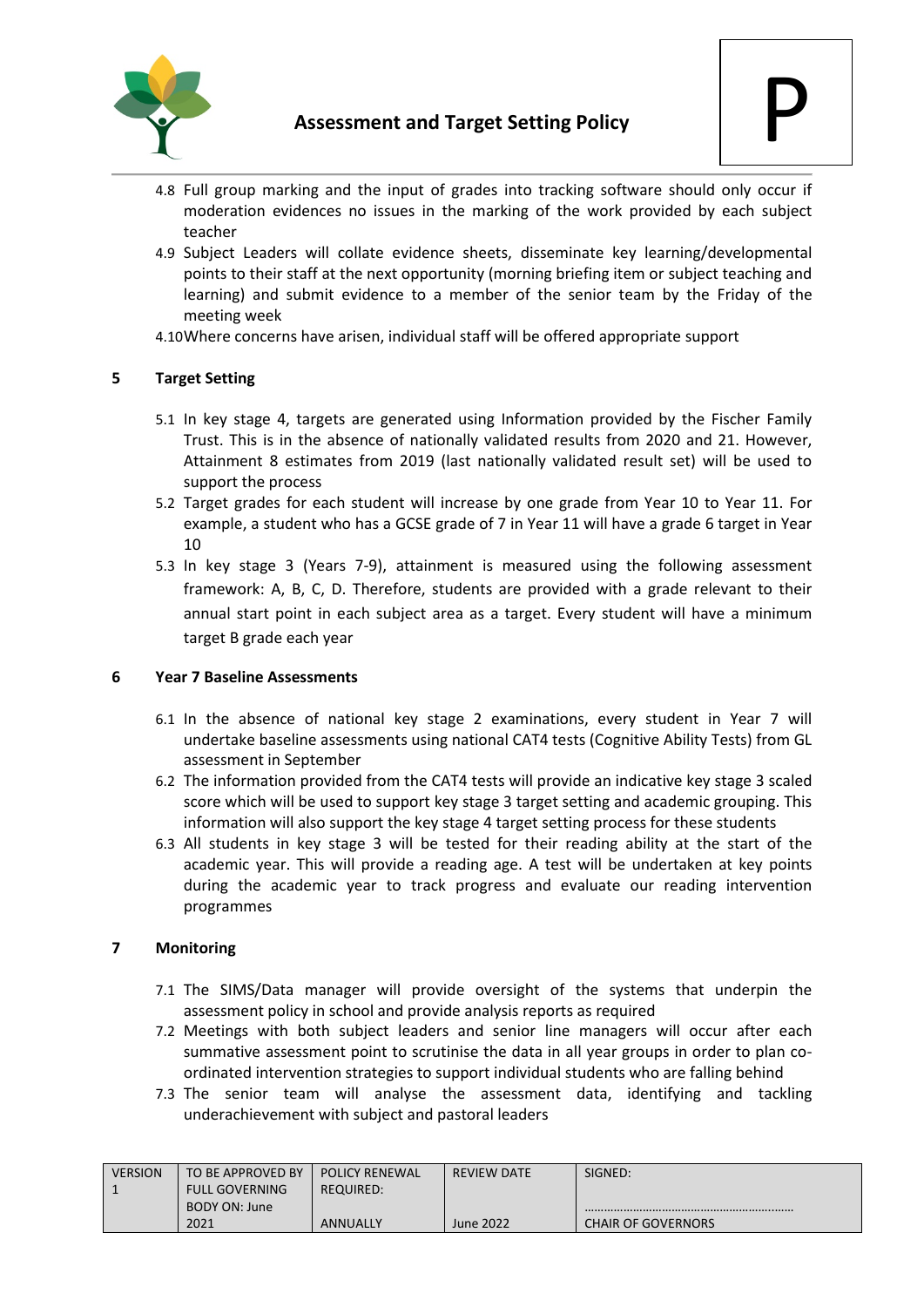

- 4.8 Full group marking and the input of grades into tracking software should only occur if moderation evidences no issues in the marking of the work provided by each subject teacher
- 4.9 Subject Leaders will collate evidence sheets, disseminate key learning/developmental points to their staff at the next opportunity (morning briefing item or subject teaching and learning) and submit evidence to a member of the senior team by the Friday of the meeting week
- 4.10Where concerns have arisen, individual staff will be offered appropriate support

# **5 Target Setting**

- 5.1 In key stage 4, targets are generated using Information provided by the Fischer Family Trust. This is in the absence of nationally validated results from 2020 and 21. However, Attainment 8 estimates from 2019 (last nationally validated result set) will be used to support the process
- 5.2 Target grades for each student will increase by one grade from Year 10 to Year 11. For example, a student who has a GCSE grade of 7 in Year 11 will have a grade 6 target in Year 10
- 5.3 In key stage 3 (Years 7-9), attainment is measured using the following assessment framework: A, B, C, D. Therefore, students are provided with a grade relevant to their annual start point in each subject area as a target. Every student will have a minimum target B grade each year

#### **6 Year 7 Baseline Assessments**

- 6.1 In the absence of national key stage 2 examinations, every student in Year 7 will undertake baseline assessments using national CAT4 tests (Cognitive Ability Tests) from GL assessment in September
- 6.2 The information provided from the CAT4 tests will provide an indicative key stage 3 scaled score which will be used to support key stage 3 target setting and academic grouping. This information will also support the key stage 4 target setting process for these students
- 6.3 All students in key stage 3 will be tested for their reading ability at the start of the academic year. This will provide a reading age. A test will be undertaken at key points during the academic year to track progress and evaluate our reading intervention programmes

# **7 Monitoring**

- 7.1 The SIMS/Data manager will provide oversight of the systems that underpin the assessment policy in school and provide analysis reports as required
- 7.2 Meetings with both subject leaders and senior line managers will occur after each summative assessment point to scrutinise the data in all year groups in order to plan coordinated intervention strategies to support individual students who are falling behind
- 7.3 The senior team will analyse the assessment data, identifying and tackling underachievement with subject and pastoral leaders

| <b>VERSION</b> | TO BE APPROVED BY     | <b>POLICY RENEWAL</b> | <b>REVIEW DATE</b> | SIGNED:                   |
|----------------|-----------------------|-----------------------|--------------------|---------------------------|
|                | <b>FULL GOVERNING</b> | <b>REQUIRED:</b>      |                    |                           |
|                | BODY ON: June         |                       |                    |                           |
|                | 2021                  | ANNUALLY              | <b>June 2022</b>   | <b>CHAIR OF GOVERNORS</b> |